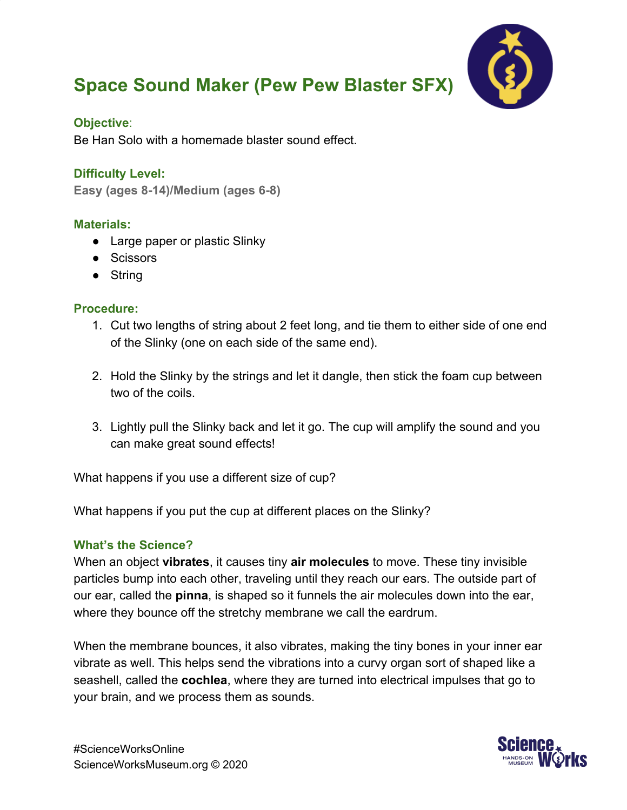# **Space Sound Maker (Pew Pew Blaster SFX)**



#### **Objective**:

Be Han Solo with a homemade blaster sound effect.

## **Difficulty Level:**

**Easy (ages 8-14)/Medium (ages 6-8)**

### **Materials:**

- Large paper or plastic Slinky
- Scissors
- String

### **Procedure:**

- 1. Cut two lengths of string about 2 feet long, and tie them to either side of one end of the Slinky (one on each side of the same end).
- 2. Hold the Slinky by the strings and let it dangle, then stick the foam cup between two of the coils.
- 3. Lightly pull the Slinky back and let it go. The cup will amplify the sound and you can make great sound effects!

What happens if you use a different size of cup?

What happens if you put the cup at different places on the Slinky?

## **What's the Science?**

When an object **vibrates**, it causes tiny **air molecules** to move. These tiny invisible particles bump into each other, traveling until they reach our ears. The outside part of our ear, called the **pinna**, is shaped so it funnels the air molecules down into the ear, where they bounce off the stretchy membrane we call the eardrum.

When the membrane bounces, it also vibrates, making the tiny bones in your inner ear vibrate as well. This helps send the vibrations into a curvy organ sort of shaped like a seashell, called the **cochlea**, where they are turned into electrical impulses that go to your brain, and we process them as sounds.

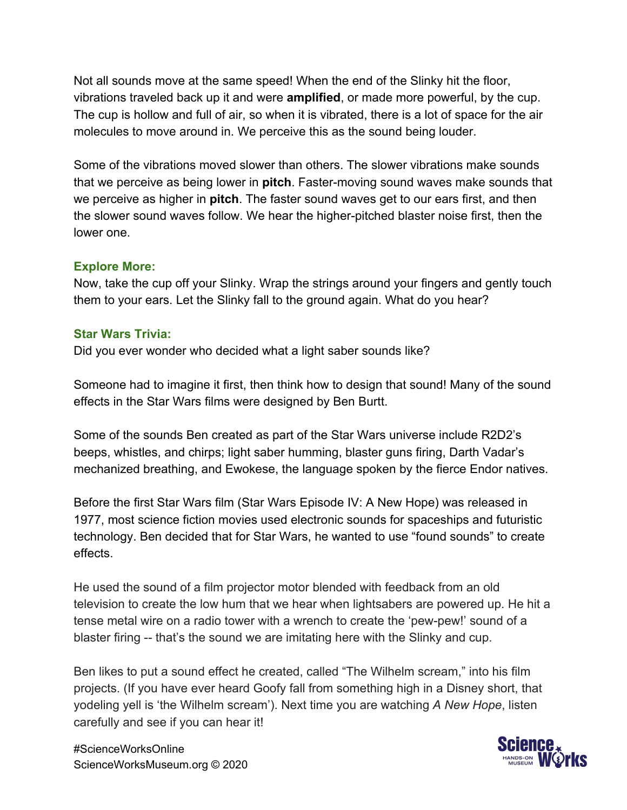Not all sounds move at the same speed! When the end of the Slinky hit the floor, vibrations traveled back up it and were **amplified**, or made more powerful, by the cup. The cup is hollow and full of air, so when it is vibrated, there is a lot of space for the air molecules to move around in. We perceive this as the sound being louder.

Some of the vibrations moved slower than others. The slower vibrations make sounds that we perceive as being lower in **pitch**. Faster-moving sound waves make sounds that we perceive as higher in **pitch**. The faster sound waves get to our ears first, and then the slower sound waves follow. We hear the higher-pitched blaster noise first, then the lower one.

#### **Explore More:**

Now, take the cup off your Slinky. Wrap the strings around your fingers and gently touch them to your ears. Let the Slinky fall to the ground again. What do you hear?

#### **Star Wars Trivia:**

Did you ever wonder who decided what a light saber sounds like?

Someone had to imagine it first, then think how to design that sound! Many of the sound effects in the Star Wars films were designed by Ben Burtt.

Some of the sounds Ben created as part of the Star Wars universe include R2D2's beeps, whistles, and chirps; light saber humming, blaster guns firing, Darth Vadar's mechanized breathing, and Ewokese, the language spoken by the fierce Endor natives.

Before the first Star Wars film (Star Wars Episode IV: A New Hope) was released in 1977, most science fiction movies used electronic sounds for spaceships and futuristic technology. Ben decided that for Star Wars, he wanted to use "found sounds" to create effects.

He used the sound of a film projector motor blended with feedback from an old television to create the low hum that we hear when lightsabers are powered up. He hit a tense metal wire on a radio tower with a wrench to create the 'pew-pew!' sound of a blaster firing -- that's the sound we are imitating here with the Slinky and cup.

Ben likes to put a sound effect he created, called "The Wilhelm scream," into his film projects. (If you have ever heard Goofy fall from something high in a Disney short, that yodeling yell is 'the Wilhelm scream'). Next time you are watching *A New Hope*, listen carefully and see if you can hear it!

#ScienceWorksOnline ScienceWorksMuseum.org © 2020